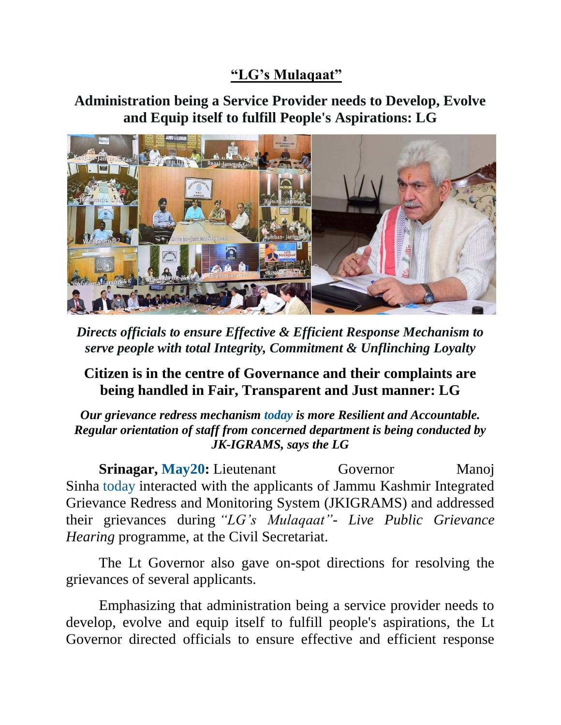## **"LG's Mulaqaat"**

## **Administration being a Service Provider needs to Develop, Evolve and Equip itself to fulfill People's Aspirations: LG**



*Directs officials to ensure Effective & Efficient Response Mechanism to serve people with total Integrity, Commitment & Unflinching Loyalty*

## **Citizen is in the centre of Governance and their complaints are being handled in Fair, Transparent and Just manner: LG**

*Our grievance redress mechanism today is more Resilient and Accountable. Regular orientation of staff from concerned department is being conducted by JK-IGRAMS, says the LG*

**Srinagar, May20:** Lieutenant Governor Manoj Sinha today interacted with the applicants of Jammu Kashmir Integrated Grievance Redress and Monitoring System (JKIGRAMS) and addressed their grievances during *"LG's Mulaqaat"- Live Public Grievance Hearing* programme, at the Civil Secretariat.

The Lt Governor also gave on-spot directions for resolving the grievances of several applicants.

Emphasizing that administration being a service provider needs to develop, evolve and equip itself to fulfill people's aspirations, the Lt Governor directed officials to ensure effective and efficient response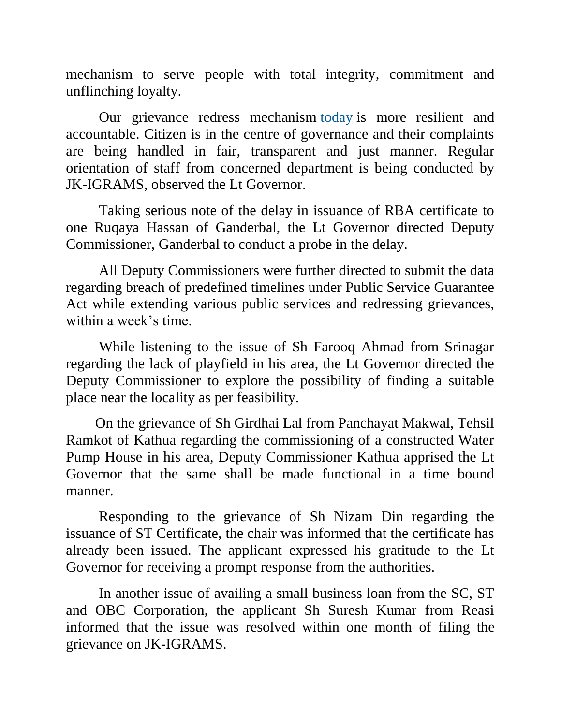mechanism to serve people with total integrity, commitment and unflinching loyalty.

Our grievance redress mechanism today is more resilient and accountable. Citizen is in the centre of governance and their complaints are being handled in fair, transparent and just manner. Regular orientation of staff from concerned department is being conducted by JK-IGRAMS, observed the Lt Governor.

Taking serious note of the delay in issuance of RBA certificate to one Ruqaya Hassan of Ganderbal, the Lt Governor directed Deputy Commissioner, Ganderbal to conduct a probe in the delay.

All Deputy Commissioners were further directed to submit the data regarding breach of predefined timelines under Public Service Guarantee Act while extending various public services and redressing grievances, within a week's time.

While listening to the issue of Sh Farooq Ahmad from Srinagar regarding the lack of playfield in his area, the Lt Governor directed the Deputy Commissioner to explore the possibility of finding a suitable place near the locality as per feasibility.

On the grievance of Sh Girdhai Lal from Panchayat Makwal, Tehsil Ramkot of Kathua regarding the commissioning of a constructed Water Pump House in his area, Deputy Commissioner Kathua apprised the Lt Governor that the same shall be made functional in a time bound manner.

Responding to the grievance of Sh Nizam Din regarding the issuance of ST Certificate, the chair was informed that the certificate has already been issued. The applicant expressed his gratitude to the Lt Governor for receiving a prompt response from the authorities.

In another issue of availing a small business loan from the SC, ST and OBC Corporation, the applicant Sh Suresh Kumar from Reasi informed that the issue was resolved within one month of filing the grievance on JK-IGRAMS.